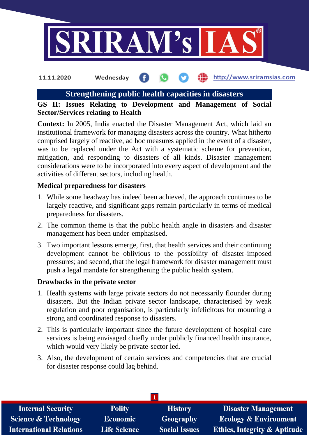

#### http://www.sriramsias.com **11.11.2020 Wednesday**

# **Strengthening public health capacities in disasters**

# **GS II: Issues Relating to Development and Management of Social Sector/Services relating to Health**

**Context:** In 2005, India enacted the Disaster Management Act, which laid an institutional framework for managing disasters across the country. What hitherto comprised largely of reactive, ad hoc measures applied in the event of a disaster, was to be replaced under the Act with a systematic scheme for prevention, mitigation, and responding to disasters of all kinds. Disaster management considerations were to be incorporated into every aspect of development and the activities of different sectors, including health.

## **Medical preparedness for disasters**

- 1. While some headway has indeed been achieved, the approach continues to be largely reactive, and significant gaps remain particularly in terms of medical preparedness for disasters.
- 2. The common theme is that the public health angle in disasters and disaster management has been under-emphasised.
- 3. Two important lessons emerge, first, that health services and their continuing development cannot be oblivious to the possibility of disaster-imposed pressures; and second, that the legal framework for disaster management must push a legal mandate for strengthening the public health system.

## **Drawbacks in the private sector**

- 1. Health systems with large private sectors do not necessarily flounder during disasters. But the Indian private sector landscape, characterised by weak regulation and poor organisation, is particularly infelicitous for mounting a strong and coordinated response to disasters.
- 2. This is particularly important since the future development of hospital care services is being envisaged chiefly under publicly financed health insurance, which would very likely be private-sector led.
- 3. Also, the development of certain services and competencies that are crucial for disaster response could lag behind.

| <b>Internal Security</b>        | <b>Polity</b>       | <b>History</b>       | <b>Disaster Management</b>              |  |  |  |
|---------------------------------|---------------------|----------------------|-----------------------------------------|--|--|--|
| <b>Science &amp; Technology</b> | Economic            | Geography            | <b>Ecology &amp; Environment</b>        |  |  |  |
| <b>International Relations</b>  | <b>Life Science</b> | <b>Social Issues</b> | <b>Ethics, Integrity &amp; Aptitude</b> |  |  |  |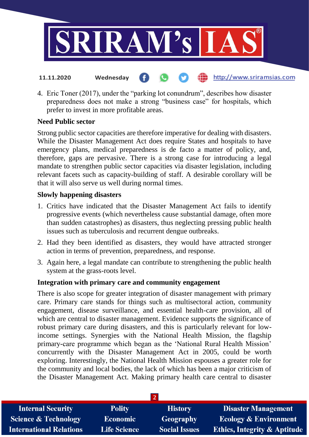

- http://www.sriramsias.com **11.11.2020 Wednesday**
- 4. Eric Toner (2017), under the "parking lot conundrum", describes how disaster preparedness does not make a strong "business case" for hospitals, which prefer to invest in more profitable areas.

## **Need Public sector**

Strong public sector capacities are therefore imperative for dealing with disasters. While the Disaster Management Act does require States and hospitals to have emergency plans, medical preparedness is de facto a matter of policy, and, therefore, gaps are pervasive. There is a strong case for introducing a legal mandate to strengthen public sector capacities via disaster legislation, including relevant facets such as capacity-building of staff. A desirable corollary will be that it will also serve us well during normal times.

## **Slowly happening disasters**

- 1. Critics have indicated that the Disaster Management Act fails to identify progressive events (which nevertheless cause substantial damage, often more than sudden catastrophes) as disasters, thus neglecting pressing public health issues such as tuberculosis and recurrent dengue outbreaks.
- 2. Had they been identified as disasters, they would have attracted stronger action in terms of prevention, preparedness, and response.
- 3. Again here, a legal mandate can contribute to strengthening the public health system at the grass-roots level.

## **Integration with primary care and community engagement**

There is also scope for greater integration of disaster management with primary care. Primary care stands for things such as multisectoral action, community engagement, disease surveillance, and essential health-care provision, all of which are central to disaster management. Evidence supports the significance of robust primary care during disasters, and this is particularly relevant for lowincome settings. Synergies with the National Health Mission, the flagship primary-care programme which began as the 'National Rural Health Mission' concurrently with the Disaster Management Act in 2005, could be worth exploring. Interestingly, the National Health Mission espouses a greater role for the community and local bodies, the lack of which has been a major criticism of the Disaster Management Act. Making primary health care central to disaster

| <b>Internal Security</b>        | <b>Polity</b>       | <b>History</b>       | <b>Disaster Management</b>              |
|---------------------------------|---------------------|----------------------|-----------------------------------------|
| <b>Science &amp; Technology</b> | Economic            | Geography            | <b>Ecology &amp; Environment</b>        |
| <b>International Relations</b>  | <b>Life Science</b> | <b>Social Issues</b> | <b>Ethics, Integrity &amp; Aptitude</b> |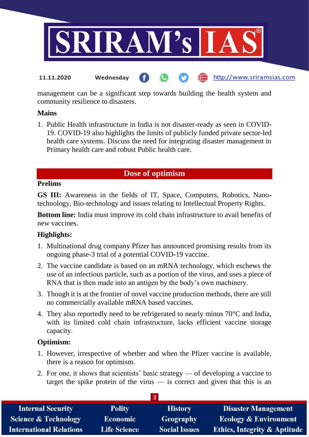

management can be a significant step towards building the health system and community resilience to disasters.

#### **Mains**

1. Public Health infrastructure in India is not disaster-ready as seen in COVID-19. COVID-19 also highlights the limits of publicly funded private sector-led health care systems. Discuss the need for integrating disaster management in Primary health care and robust Public health care.

# **Dose of optimism**

#### **Prelims**

**GS III:** Awareness in the fields of IT, Space, Computers, Robotics, Nanotechnology, Bio-technology and issues relating to Intellectual Property Rights.

**Bottom line:** India must improve its cold chain infrastructure to avail benefits of new vaccines.

## **Highlights:**

- 1. Multinational drug company Pfizer has announced promising results from its ongoing phase-3 trial of a potential COVID-19 vaccine.
- 2. The vaccine candidate is based on an mRNA technology, which eschews the use of an infectious particle, such as a portion of the virus, and uses a piece of RNA that is then made into an antigen by the body's own machinery.
- 3. Though it is at the frontier of novel vaccine production methods, there are still no commercially available mRNA based vaccines.
- 4. They also reportedly need to be refrigerated to nearly minus 70°C and India, with its limited cold chain infrastructure, lacks efficient vaccine storage capacity.

## **Optimism:**

- 1. However, irrespective of whether and when the Pfizer vaccine is available, there is a reason for optimism.
- 2. For one, it shows that scientists' basic strategy of developing a vaccine to target the spike protein of the virus  $-$  is correct and given that this is an

| <b>Internal Security</b>        | <b>Polity</b>       | <b>History</b>       | <b>Disaster Management</b>              |  |  |  |
|---------------------------------|---------------------|----------------------|-----------------------------------------|--|--|--|
| <b>Science &amp; Technology</b> | Economic            | <b>Geography</b>     | <b>Ecology &amp; Environment</b>        |  |  |  |
| <b>International Relations</b>  | <b>Life Science</b> | <b>Social Issues</b> | <b>Ethics, Integrity &amp; Aptitude</b> |  |  |  |